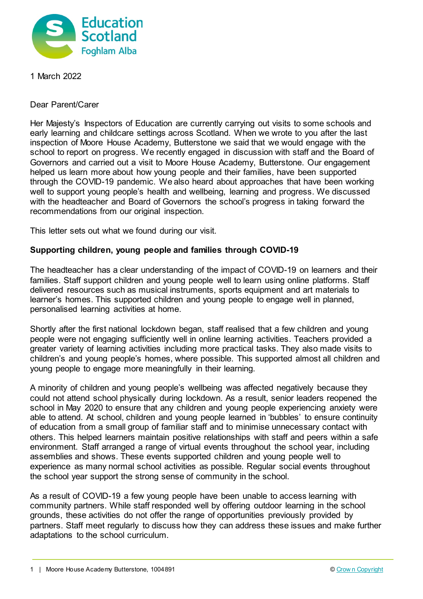

1 March 2022

Dear Parent/Carer

Her Majesty's Inspectors of Education are currently carrying out visits to some schools and early learning and childcare settings across Scotland. When we wrote to you after the last inspection of Moore House Academy, Butterstone we said that we would engage with the school to report on progress. We recently engaged in discussion with staff and the Board of Governors and carried out a visit to Moore House Academy, Butterstone. Our engagement helped us learn more about how young people and their families, have been supported through the COVID-19 pandemic. We also heard about approaches that have been working well to support young people's health and wellbeing, learning and progress. We discussed with the headteacher and Board of Governors the school's progress in taking forward the recommendations from our original inspection.

This letter sets out what we found during our visit.

## **Supporting children, young people and families through COVID-19**

The headteacher has a clear understanding of the impact of COVID-19 on learners and their families. Staff support children and young people well to learn using online platforms. Staff delivered resources such as musical instruments, sports equipment and art materials to learner's homes. This supported children and young people to engage well in planned, personalised learning activities at home.

Shortly after the first national lockdown began, staff realised that a few children and young people were not engaging sufficiently well in online learning activities. Teachers provided a greater variety of learning activities including more practical tasks. They also made visits to children's and young people's homes, where possible. This supported almost all children and young people to engage more meaningfully in their learning.

A minority of children and young people's wellbeing was affected negatively because they could not attend school physically during lockdown. As a result, senior leaders reopened the school in May 2020 to ensure that any children and young people experiencing anxiety were able to attend. At school, children and young people learned in 'bubbles' to ensure continuity of education from a small group of familiar staff and to minimise unnecessary contact with others. This helped learners maintain positive relationships with staff and peers within a safe environment. Staff arranged a range of virtual events throughout the school year, including assemblies and shows. These events supported children and young people well to experience as many normal school activities as possible. Regular social events throughout the school year support the strong sense of community in the school.

As a result of COVID-19 a few young people have been unable to access learning with community partners. While staff responded well by offering outdoor learning in the school grounds, these activities do not offer the range of opportunities previously provided by partners. Staff meet regularly to discuss how they can address these issues and make further adaptations to the school curriculum.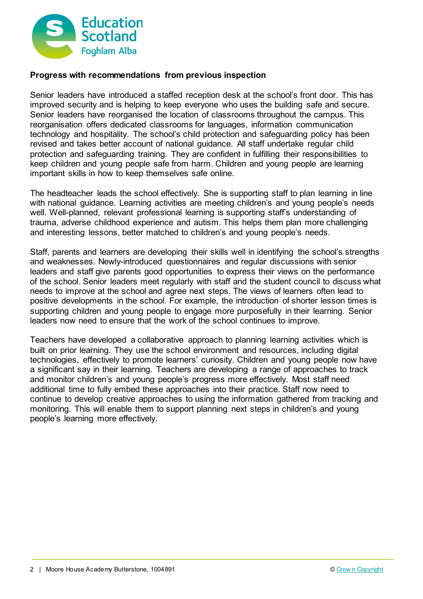

## **Progress with recommendations from previous inspection**

Senior leaders have introduced a staffed reception desk at the school's front door. This has improved security and is helping to keep everyone who uses the building safe and secure. Senior leaders have reorganised the location of classrooms throughout the campus. This reorganisation offers dedicated classrooms for languages, information communication technology and hospitality. The school's child protection and safeguarding policy has been revised and takes better account of national guidance. All staff undertake regular child protection and safeguarding training. They are confident in fulfilling their responsibilities to keep children and young people safe from harm. Children and young people are learning important skills in how to keep themselves safe online.

The headteacher leads the school effectively. She is supporting staff to plan learning in line with national guidance. Learning activities are meeting children's and young people's needs well. Well-planned, relevant professional learning is supporting staff's understanding of trauma, adverse childhood experience and autism. This helps them plan more challenging and interesting lessons, better matched to children's and young people's needs.

Staff, parents and learners are developing their skills well in identifying the school's strengths and weaknesses. Newly-introduced questionnaires and regular discussions with senior leaders and staff give parents good opportunities to express their views on the performance of the school. Senior leaders meet regularly with staff and the student council to discuss what needs to improve at the school and agree next steps. The views of learners often lead to positive developments in the school. For example, the introduction of shorter lesson times is supporting children and young people to engage more purposefully in their learning. Senior leaders now need to ensure that the work of the school continues to improve.

Teachers have developed a collaborative approach to planning learning activities which is built on prior learning. They use the school environment and resources, including digital technologies, effectively to promote learners' curiosity. Children and young people now have a significant say in their learning. Teachers are developing a range of approaches to track and monitor children's and young people's progress more effectively. Most staff need additional time to fully embed these approaches into their practice. Staff now need to continue to develop creative approaches to using the information gathered from tracking and monitoring. This will enable them to support planning next steps in children's and young people's learning more effectively.